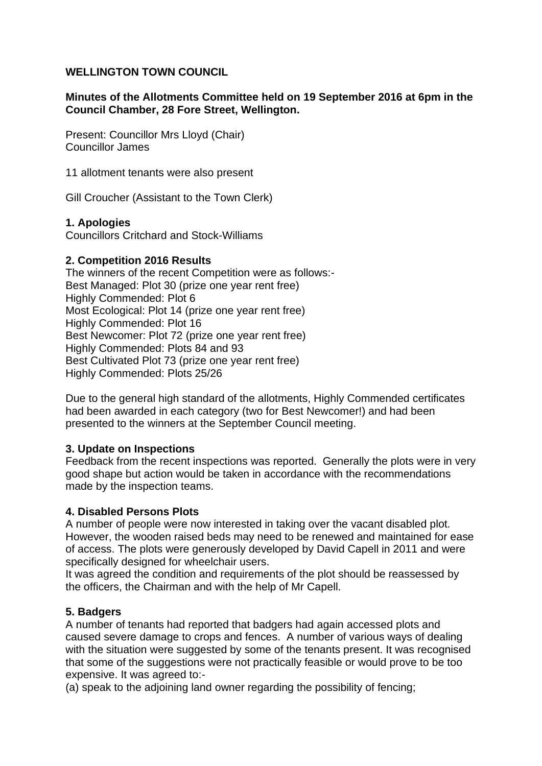## **WELLINGTON TOWN COUNCIL**

## **Minutes of the Allotments Committee held on 19 September 2016 at 6pm in the Council Chamber, 28 Fore Street, Wellington.**

Present: Councillor Mrs Lloyd (Chair) Councillor James

11 allotment tenants were also present

Gill Croucher (Assistant to the Town Clerk)

## **1. Apologies**

Councillors Critchard and Stock-Williams

## **2. Competition 2016 Results**

The winners of the recent Competition were as follows:- Best Managed: Plot 30 (prize one year rent free) Highly Commended: Plot 6 Most Ecological: Plot 14 (prize one year rent free) Highly Commended: Plot 16 Best Newcomer: Plot 72 (prize one year rent free) Highly Commended: Plots 84 and 93 Best Cultivated Plot 73 (prize one year rent free) Highly Commended: Plots 25/26

Due to the general high standard of the allotments, Highly Commended certificates had been awarded in each category (two for Best Newcomer!) and had been presented to the winners at the September Council meeting.

## **3. Update on Inspections**

Feedback from the recent inspections was reported. Generally the plots were in very good shape but action would be taken in accordance with the recommendations made by the inspection teams.

#### **4. Disabled Persons Plots**

A number of people were now interested in taking over the vacant disabled plot. However, the wooden raised beds may need to be renewed and maintained for ease of access. The plots were generously developed by David Capell in 2011 and were specifically designed for wheelchair users.

It was agreed the condition and requirements of the plot should be reassessed by the officers, the Chairman and with the help of Mr Capell.

## **5. Badgers**

A number of tenants had reported that badgers had again accessed plots and caused severe damage to crops and fences. A number of various ways of dealing with the situation were suggested by some of the tenants present. It was recognised that some of the suggestions were not practically feasible or would prove to be too expensive. It was agreed to:-

(a) speak to the adjoining land owner regarding the possibility of fencing;